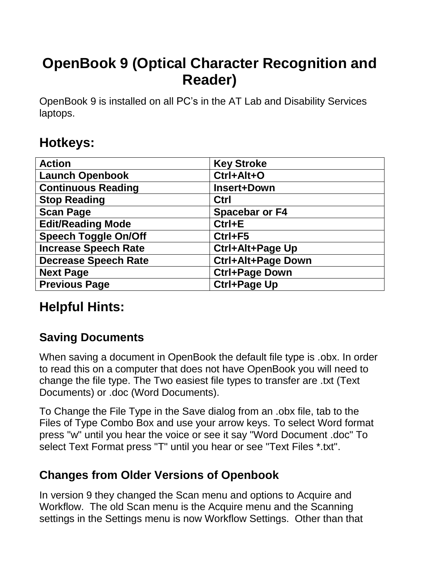# **OpenBook 9 (Optical Character Recognition and Reader)**

OpenBook 9 is installed on all PC's in the AT Lab and Disability Services laptops.

## **Hotkeys:**

| <b>Action</b>               | <b>Key Stroke</b>     |
|-----------------------------|-----------------------|
| <b>Launch Openbook</b>      | Ctrl+Alt+O            |
| <b>Continuous Reading</b>   | <b>Insert+Down</b>    |
| <b>Stop Reading</b>         | <b>Ctrl</b>           |
| <b>Scan Page</b>            | <b>Spacebar or F4</b> |
| <b>Edit/Reading Mode</b>    | $Ctrl + E$            |
| <b>Speech Toggle On/Off</b> | Ctrl+F5               |
| <b>Increase Speech Rate</b> | Ctrl+Alt+Page Up      |
| <b>Decrease Speech Rate</b> | Ctrl+Alt+Page Down    |
| <b>Next Page</b>            | <b>Ctrl+Page Down</b> |
| <b>Previous Page</b>        | <b>Ctrl+Page Up</b>   |

# **Helpful Hints:**

## **Saving Documents**

When saving a document in OpenBook the default file type is .obx. In order to read this on a computer that does not have OpenBook you will need to change the file type. The Two easiest file types to transfer are .txt (Text Documents) or .doc (Word Documents).

To Change the File Type in the Save dialog from an .obx file, tab to the Files of Type Combo Box and use your arrow keys. To select Word format press "w" until you hear the voice or see it say "Word Document .doc" To select Text Format press "T" until you hear or see "Text Files \*.txt".

#### **Changes from Older Versions of Openbook**

In version 9 they changed the Scan menu and options to Acquire and Workflow. The old Scan menu is the Acquire menu and the Scanning settings in the Settings menu is now Workflow Settings. Other than that